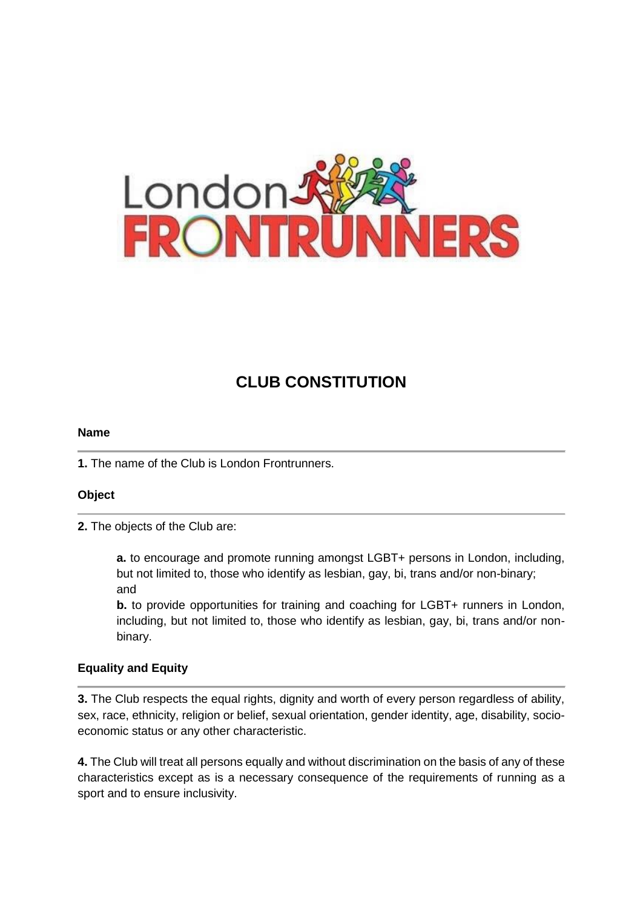

# **CLUB CONSTITUTION**

#### **Name**

**1.** The name of the Club is London Frontrunners.

### **Object**

**2.** The objects of the Club are:

**a.** to encourage and promote running amongst LGBT+ persons in London, including, but not limited to, those who identify as lesbian, gay, bi, trans and/or non-binary; and

**b.** to provide opportunities for training and coaching for LGBT+ runners in London, including, but not limited to, those who identify as lesbian, gay, bi, trans and/or nonbinary.

### **Equality and Equity**

**3.** The Club respects the equal rights, dignity and worth of every person regardless of ability, sex, race, ethnicity, religion or belief, sexual orientation, gender identity, age, disability, socioeconomic status or any other characteristic.

**4.** The Club will treat all persons equally and without discrimination on the basis of any of these characteristics except as is a necessary consequence of the requirements of running as a sport and to ensure inclusivity.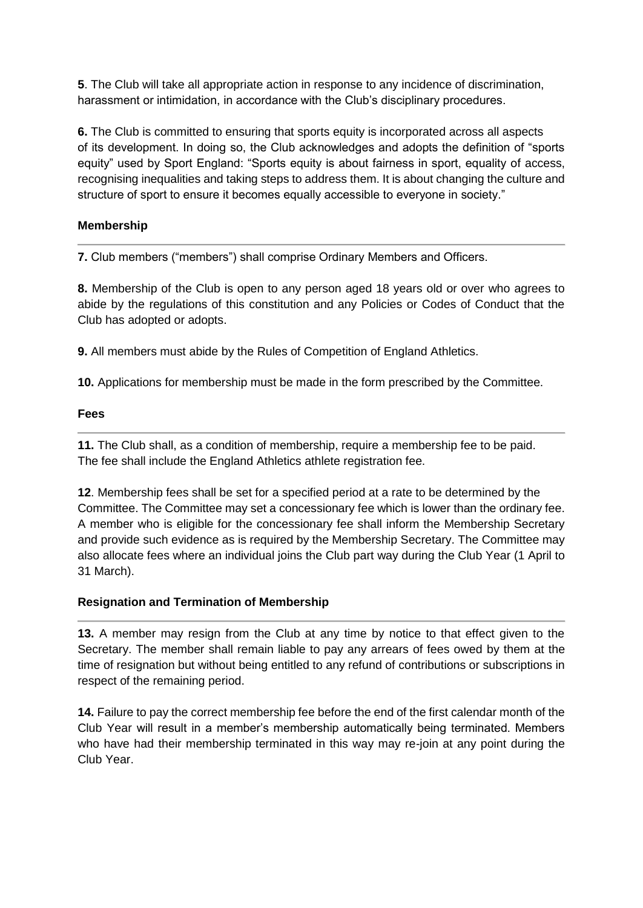**5**. The Club will take all appropriate action in response to any incidence of discrimination, harassment or intimidation, in accordance with the Club's disciplinary procedures.

**6.** The Club is committed to ensuring that sports equity is incorporated across all aspects of its development. In doing so, the Club acknowledges and adopts the definition of "sports equity" used by Sport England: "Sports equity is about fairness in sport, equality of access, recognising inequalities and taking steps to address them. It is about changing the culture and structure of sport to ensure it becomes equally accessible to everyone in society."

## **Membership**

**7.** Club members ("members") shall comprise Ordinary Members and Officers.

**8.** Membership of the Club is open to any person aged 18 years old or over who agrees to abide by the regulations of this constitution and any Policies or Codes of Conduct that the Club has adopted or adopts.

**9.** All members must abide by the Rules of Competition of England Athletics.

**10.** Applications for membership must be made in the form prescribed by the Committee.

### **Fees**

**11.** The Club shall, as a condition of membership, require a membership fee to be paid. The fee shall include the England Athletics athlete registration fee.

**12**. Membership fees shall be set for a specified period at a rate to be determined by the Committee. The Committee may set a concessionary fee which is lower than the ordinary fee. A member who is eligible for the concessionary fee shall inform the Membership Secretary and provide such evidence as is required by the Membership Secretary. The Committee may also allocate fees where an individual joins the Club part way during the Club Year (1 April to 31 March).

### **Resignation and Termination of Membership**

**13.** A member may resign from the Club at any time by notice to that effect given to the Secretary. The member shall remain liable to pay any arrears of fees owed by them at the time of resignation but without being entitled to any refund of contributions or subscriptions in respect of the remaining period.

**14.** Failure to pay the correct membership fee before the end of the first calendar month of the Club Year will result in a member's membership automatically being terminated. Members who have had their membership terminated in this way may re-join at any point during the Club Year.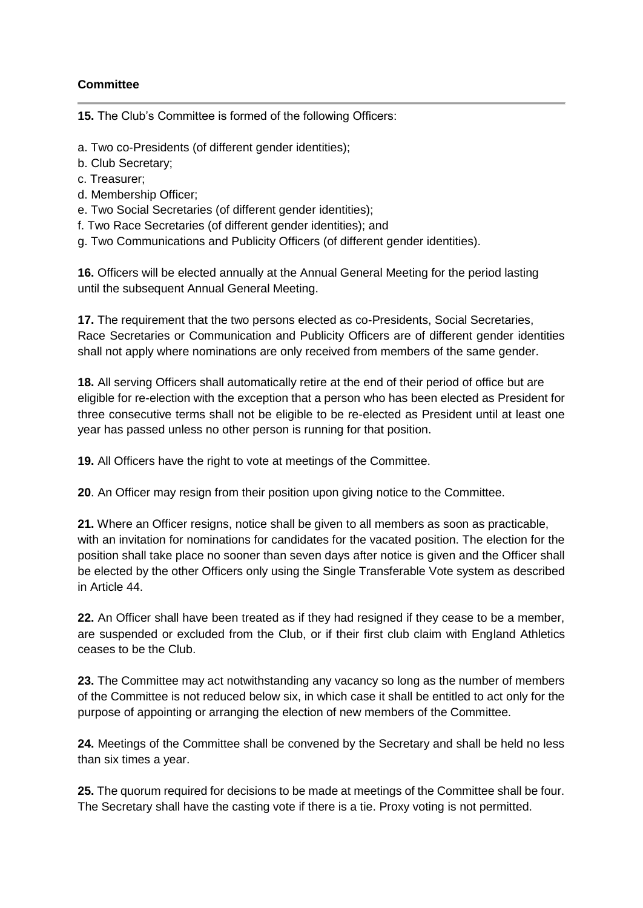## **Committee**

**15.** The Club's Committee is formed of the following Officers:

- a. Two co-Presidents (of different gender identities);
- b. Club Secretary;
- c. Treasurer;
- d. Membership Officer;
- e. Two Social Secretaries (of different gender identities);
- f. Two Race Secretaries (of different gender identities); and
- g. Two Communications and Publicity Officers (of different gender identities).

**16.** Officers will be elected annually at the Annual General Meeting for the period lasting until the subsequent Annual General Meeting.

**17.** The requirement that the two persons elected as co-Presidents, Social Secretaries, Race Secretaries or Communication and Publicity Officers are of different gender identities shall not apply where nominations are only received from members of the same gender.

**18.** All serving Officers shall automatically retire at the end of their period of office but are eligible for re-election with the exception that a person who has been elected as President for three consecutive terms shall not be eligible to be re-elected as President until at least one year has passed unless no other person is running for that position.

**19.** All Officers have the right to vote at meetings of the Committee.

**20**. An Officer may resign from their position upon giving notice to the Committee.

**21.** Where an Officer resigns, notice shall be given to all members as soon as practicable, with an invitation for nominations for candidates for the vacated position. The election for the position shall take place no sooner than seven days after notice is given and the Officer shall be elected by the other Officers only using the Single Transferable Vote system as described in Article 44.

**22.** An Officer shall have been treated as if they had resigned if they cease to be a member, are suspended or excluded from the Club, or if their first club claim with England Athletics ceases to be the Club.

**23.** The Committee may act notwithstanding any vacancy so long as the number of members of the Committee is not reduced below six, in which case it shall be entitled to act only for the purpose of appointing or arranging the election of new members of the Committee.

**24.** Meetings of the Committee shall be convened by the Secretary and shall be held no less than six times a year.

**25.** The quorum required for decisions to be made at meetings of the Committee shall be four. The Secretary shall have the casting vote if there is a tie. Proxy voting is not permitted.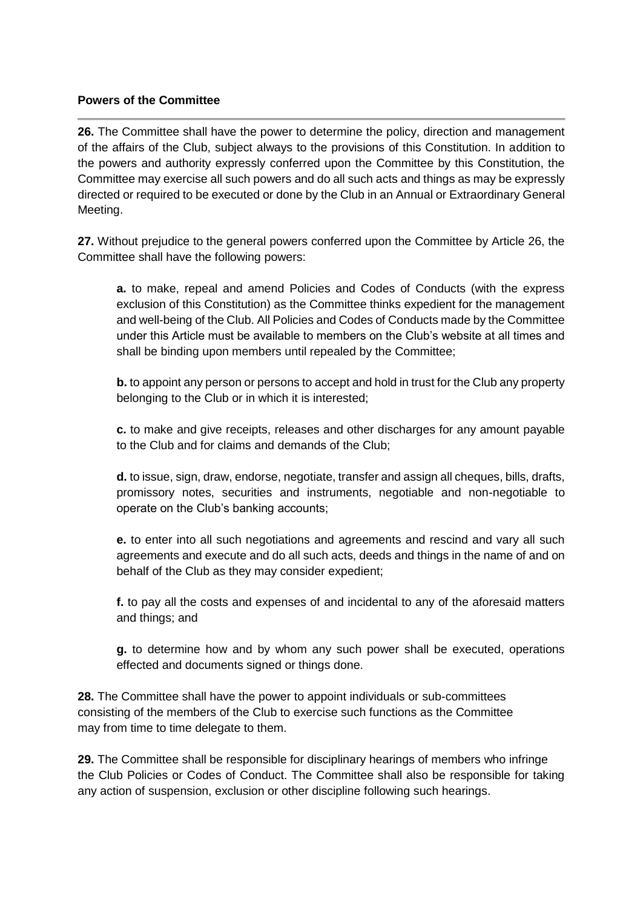### **Powers of the Committee**

**26.** The Committee shall have the power to determine the policy, direction and management of the affairs of the Club, subject always to the provisions of this Constitution. In addition to the powers and authority expressly conferred upon the Committee by this Constitution, the Committee may exercise all such powers and do all such acts and things as may be expressly directed or required to be executed or done by the Club in an Annual or Extraordinary General Meeting.

**27.** Without prejudice to the general powers conferred upon the Committee by Article 26, the Committee shall have the following powers:

**a.** to make, repeal and amend Policies and Codes of Conducts (with the express exclusion of this Constitution) as the Committee thinks expedient for the management and well-being of the Club. All Policies and Codes of Conducts made by the Committee under this Article must be available to members on the Club's website at all times and shall be binding upon members until repealed by the Committee;

**b.** to appoint any person or persons to accept and hold in trust for the Club any property belonging to the Club or in which it is interested;

**c.** to make and give receipts, releases and other discharges for any amount payable to the Club and for claims and demands of the Club;

**d.** to issue, sign, draw, endorse, negotiate, transfer and assign all cheques, bills, drafts, promissory notes, securities and instruments, negotiable and non-negotiable to operate on the Club's banking accounts;

**e.** to enter into all such negotiations and agreements and rescind and vary all such agreements and execute and do all such acts, deeds and things in the name of and on behalf of the Club as they may consider expedient;

**f.** to pay all the costs and expenses of and incidental to any of the aforesaid matters and things; and

**g.** to determine how and by whom any such power shall be executed, operations effected and documents signed or things done.

**28.** The Committee shall have the power to appoint individuals or sub-committees consisting of the members of the Club to exercise such functions as the Committee may from time to time delegate to them.

**29.** The Committee shall be responsible for disciplinary hearings of members who infringe the Club Policies or Codes of Conduct. The Committee shall also be responsible for taking any action of suspension, exclusion or other discipline following such hearings.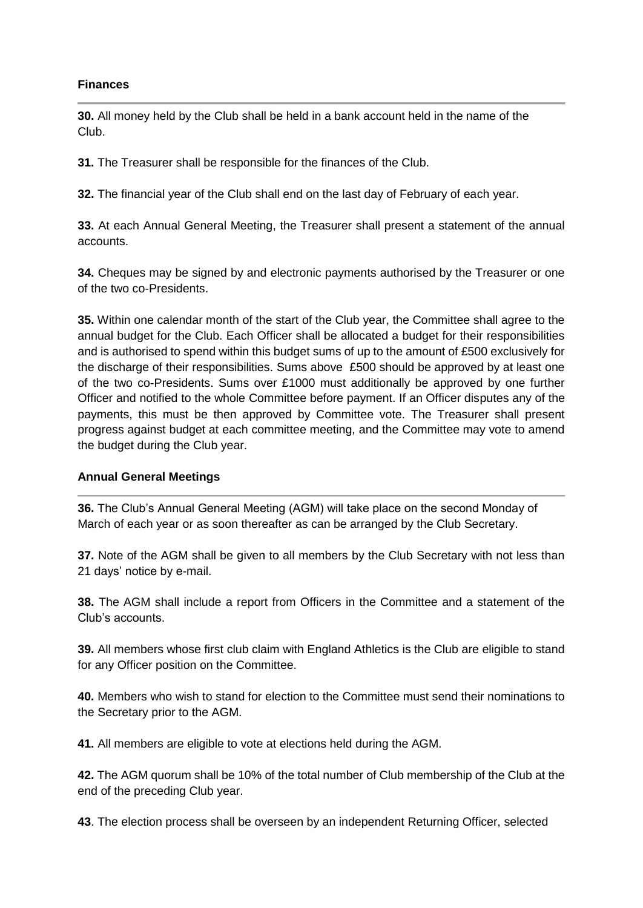### **Finances**

**30.** All money held by the Club shall be held in a bank account held in the name of the Club.

**31.** The Treasurer shall be responsible for the finances of the Club.

**32.** The financial year of the Club shall end on the last day of February of each year.

**33.** At each Annual General Meeting, the Treasurer shall present a statement of the annual accounts.

**34.** Cheques may be signed by and electronic payments authorised by the Treasurer or one of the two co-Presidents.

**35.** Within one calendar month of the start of the Club year, the Committee shall agree to the annual budget for the Club. Each Officer shall be allocated a budget for their responsibilities and is authorised to spend within this budget sums of up to the amount of £500 exclusively for the discharge of their responsibilities. Sums above £500 should be approved by at least one of the two co-Presidents. Sums over £1000 must additionally be approved by one further Officer and notified to the whole Committee before payment. If an Officer disputes any of the payments, this must be then approved by Committee vote. The Treasurer shall present progress against budget at each committee meeting, and the Committee may vote to amend the budget during the Club year.

### **Annual General Meetings**

**36.** The Club's Annual General Meeting (AGM) will take place on the second Monday of March of each year or as soon thereafter as can be arranged by the Club Secretary.

**37.** Note of the AGM shall be given to all members by the Club Secretary with not less than 21 days' notice by e-mail.

**38.** The AGM shall include a report from Officers in the Committee and a statement of the Club's accounts.

**39.** All members whose first club claim with England Athletics is the Club are eligible to stand for any Officer position on the Committee.

**40.** Members who wish to stand for election to the Committee must send their nominations to the Secretary prior to the AGM.

**41.** All members are eligible to vote at elections held during the AGM.

**42.** The AGM quorum shall be 10% of the total number of Club membership of the Club at the end of the preceding Club year.

**43**. The election process shall be overseen by an independent Returning Officer, selected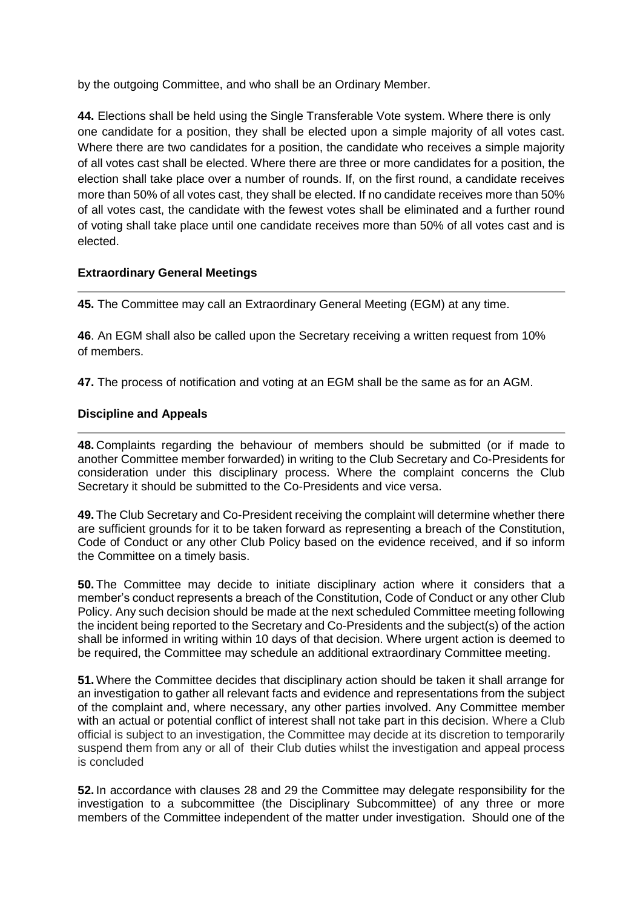by the outgoing Committee, and who shall be an Ordinary Member.

**44.** Elections shall be held using the Single Transferable Vote system. Where there is only one candidate for a position, they shall be elected upon a simple majority of all votes cast. Where there are two candidates for a position, the candidate who receives a simple majority of all votes cast shall be elected. Where there are three or more candidates for a position, the election shall take place over a number of rounds. If, on the first round, a candidate receives more than 50% of all votes cast, they shall be elected. If no candidate receives more than 50% of all votes cast, the candidate with the fewest votes shall be eliminated and a further round of voting shall take place until one candidate receives more than 50% of all votes cast and is elected.

## **Extraordinary General Meetings**

**45.** The Committee may call an Extraordinary General Meeting (EGM) at any time.

**46**. An EGM shall also be called upon the Secretary receiving a written request from 10% of members.

**47.** The process of notification and voting at an EGM shall be the same as for an AGM.

## **Discipline and Appeals**

**48.** Complaints regarding the behaviour of members should be submitted (or if made to another Committee member forwarded) in writing to the Club Secretary and Co-Presidents for consideration under this disciplinary process. Where the complaint concerns the Club Secretary it should be submitted to the Co-Presidents and vice versa.

**49.** The Club Secretary and Co-President receiving the complaint will determine whether there are sufficient grounds for it to be taken forward as representing a breach of the Constitution, Code of Conduct or any other Club Policy based on the evidence received, and if so inform the Committee on a timely basis.

**50.** The Committee may decide to initiate disciplinary action where it considers that a member's conduct represents a breach of the Constitution, Code of Conduct or any other Club Policy. Any such decision should be made at the next scheduled Committee meeting following the incident being reported to the Secretary and Co-Presidents and the subject(s) of the action shall be informed in writing within 10 days of that decision. Where urgent action is deemed to be required, the Committee may schedule an additional extraordinary Committee meeting.

**51.** Where the Committee decides that disciplinary action should be taken it shall arrange for an investigation to gather all relevant facts and evidence and representations from the subject of the complaint and, where necessary, any other parties involved. Any Committee member with an actual or potential conflict of interest shall not take part in this decision. Where a Club official is subject to an investigation, the Committee may decide at its discretion to temporarily suspend them from any or all of their Club duties whilst the investigation and appeal process is concluded

**52.** In accordance with clauses 28 and 29 the Committee may delegate responsibility for the investigation to a subcommittee (the Disciplinary Subcommittee) of any three or more members of the Committee independent of the matter under investigation. Should one of the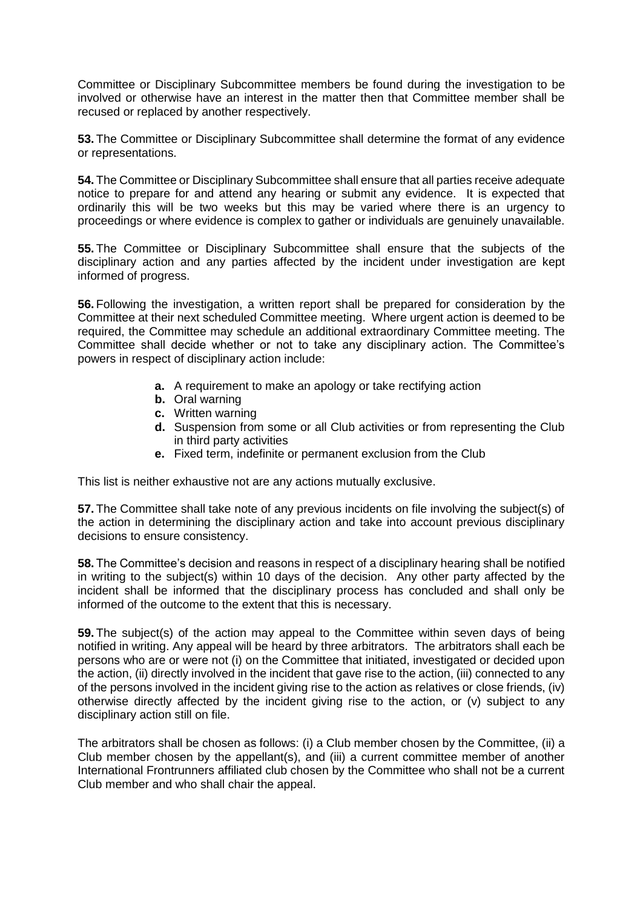Committee or Disciplinary Subcommittee members be found during the investigation to be involved or otherwise have an interest in the matter then that Committee member shall be recused or replaced by another respectively.

**53.** The Committee or Disciplinary Subcommittee shall determine the format of any evidence or representations.

**54.** The Committee or Disciplinary Subcommittee shall ensure that all parties receive adequate notice to prepare for and attend any hearing or submit any evidence. It is expected that ordinarily this will be two weeks but this may be varied where there is an urgency to proceedings or where evidence is complex to gather or individuals are genuinely unavailable.

**55.** The Committee or Disciplinary Subcommittee shall ensure that the subjects of the disciplinary action and any parties affected by the incident under investigation are kept informed of progress.

**56.** Following the investigation, a written report shall be prepared for consideration by the Committee at their next scheduled Committee meeting. Where urgent action is deemed to be required, the Committee may schedule an additional extraordinary Committee meeting. The Committee shall decide whether or not to take any disciplinary action. The Committee's powers in respect of disciplinary action include:

- **a.** A requirement to make an apology or take rectifying action
- **b.** Oral warning
- **c.** Written warning
- **d.** Suspension from some or all Club activities or from representing the Club in third party activities
- **e.** Fixed term, indefinite or permanent exclusion from the Club

This list is neither exhaustive not are any actions mutually exclusive.

**57.** The Committee shall take note of any previous incidents on file involving the subject(s) of the action in determining the disciplinary action and take into account previous disciplinary decisions to ensure consistency.

**58.** The Committee's decision and reasons in respect of a disciplinary hearing shall be notified in writing to the subject(s) within 10 days of the decision. Any other party affected by the incident shall be informed that the disciplinary process has concluded and shall only be informed of the outcome to the extent that this is necessary.

**59.** The subject(s) of the action may appeal to the Committee within seven days of being notified in writing. Any appeal will be heard by three arbitrators. The arbitrators shall each be persons who are or were not (i) on the Committee that initiated, investigated or decided upon the action, (ii) directly involved in the incident that gave rise to the action, (iii) connected to any of the persons involved in the incident giving rise to the action as relatives or close friends, (iv) otherwise directly affected by the incident giving rise to the action, or (v) subject to any disciplinary action still on file.

The arbitrators shall be chosen as follows: (i) a Club member chosen by the Committee, (ii) a Club member chosen by the appellant(s), and (iii) a current committee member of another International Frontrunners affiliated club chosen by the Committee who shall not be a current Club member and who shall chair the appeal.